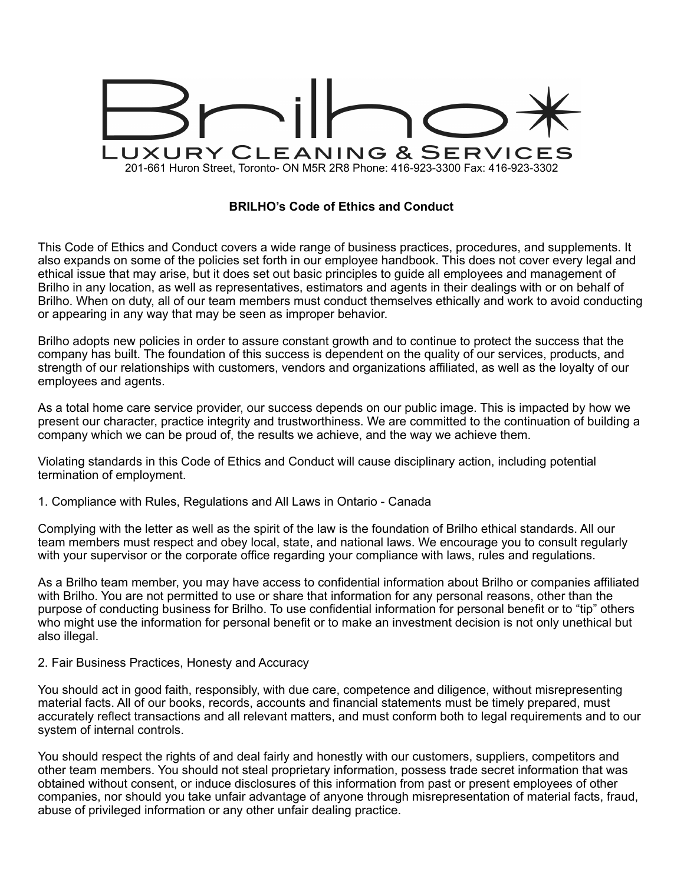

# **BRILHO's Code of Ethics and Conduct**

This Code of Ethics and Conduct covers a wide range of business practices, procedures, and supplements. It also expands on some of the policies set forth in our employee handbook. This does not cover every legal and ethical issue that may arise, but it does set out basic principles to guide all employees and management of Brilho in any location, as well as representatives, estimators and agents in their dealings with or on behalf of Brilho. When on duty, all of our team members must conduct themselves ethically and work to avoid conducting or appearing in any way that may be seen as improper behavior.

Brilho adopts new policies in order to assure constant growth and to continue to protect the success that the company has built. The foundation of this success is dependent on the quality of our services, products, and strength of our relationships with customers, vendors and organizations affiliated, as well as the loyalty of our employees and agents.

As a total home care service provider, our success depends on our public image. This is impacted by how we present our character, practice integrity and trustworthiness. We are committed to the continuation of building a company which we can be proud of, the results we achieve, and the way we achieve them.

Violating standards in this Code of Ethics and Conduct will cause disciplinary action, including potential termination of employment.

1. Compliance with Rules, Regulations and All Laws in Ontario - Canada

Complying with the letter as well as the spirit of the law is the foundation of Brilho ethical standards. All our team members must respect and obey local, state, and national laws. We encourage you to consult regularly with your supervisor or the corporate office regarding your compliance with laws, rules and regulations.

As a Brilho team member, you may have access to confidential information about Brilho or companies affiliated with Brilho. You are not permitted to use or share that information for any personal reasons, other than the purpose of conducting business for Brilho. To use confidential information for personal benefit or to "tip" others who might use the information for personal benefit or to make an investment decision is not only unethical but also illegal.

#### 2. Fair Business Practices, Honesty and Accuracy

You should act in good faith, responsibly, with due care, competence and diligence, without misrepresenting material facts. All of our books, records, accounts and financial statements must be timely prepared, must accurately reflect transactions and all relevant matters, and must conform both to legal requirements and to our system of internal controls.

You should respect the rights of and deal fairly and honestly with our customers, suppliers, competitors and other team members. You should not steal proprietary information, possess trade secret information that was obtained without consent, or induce disclosures of this information from past or present employees of other companies, nor should you take unfair advantage of anyone through misrepresentation of material facts, fraud, abuse of privileged information or any other unfair dealing practice.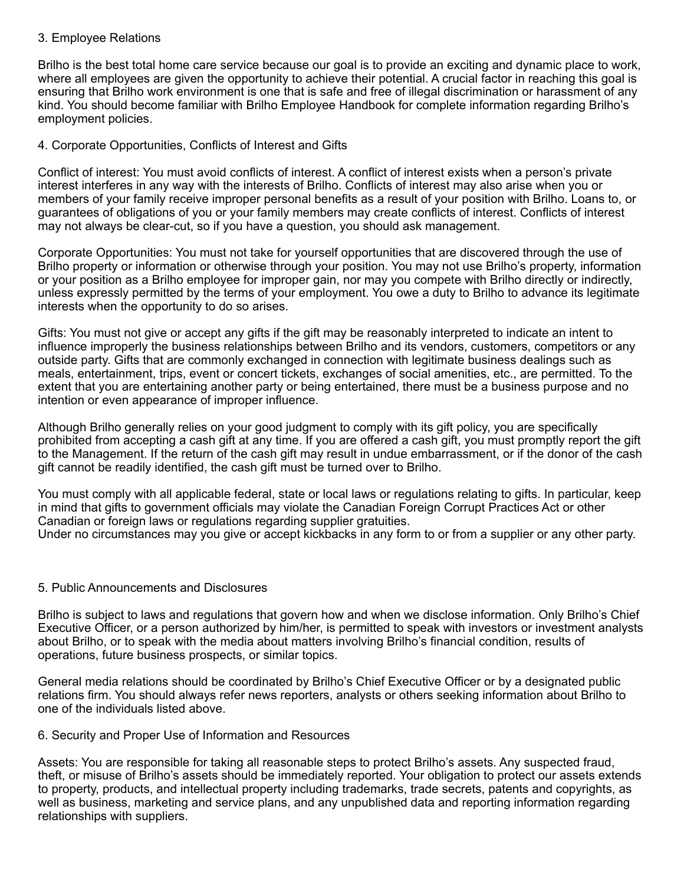## 3. Employee Relations

Brilho is the best total home care service because our goal is to provide an exciting and dynamic place to work, where all employees are given the opportunity to achieve their potential. A crucial factor in reaching this goal is ensuring that Brilho work environment is one that is safe and free of illegal discrimination or harassment of any kind. You should become familiar with Brilho Employee Handbook for complete information regarding Brilho's employment policies.

## 4. Corporate Opportunities, Conflicts of Interest and Gifts

Conflict of interest: You must avoid conflicts of interest. A conflict of interest exists when a person's private interest interferes in any way with the interests of Brilho. Conflicts of interest may also arise when you or members of your family receive improper personal benefits as a result of your position with Brilho. Loans to, or guarantees of obligations of you or your family members may create conflicts of interest. Conflicts of interest may not always be clear-cut, so if you have a question, you should ask management.

Corporate Opportunities: You must not take for yourself opportunities that are discovered through the use of Brilho property or information or otherwise through your position. You may not use Brilho's property, information or your position as a Brilho employee for improper gain, nor may you compete with Brilho directly or indirectly, unless expressly permitted by the terms of your employment. You owe a duty to Brilho to advance its legitimate interests when the opportunity to do so arises.

Gifts: You must not give or accept any gifts if the gift may be reasonably interpreted to indicate an intent to influence improperly the business relationships between Brilho and its vendors, customers, competitors or any outside party. Gifts that are commonly exchanged in connection with legitimate business dealings such as meals, entertainment, trips, event or concert tickets, exchanges of social amenities, etc., are permitted. To the extent that you are entertaining another party or being entertained, there must be a business purpose and no intention or even appearance of improper influence.

Although Brilho generally relies on your good judgment to comply with its gift policy, you are specifically prohibited from accepting a cash gift at any time. If you are offered a cash gift, you must promptly report the gift to the Management. If the return of the cash gift may result in undue embarrassment, or if the donor of the cash gift cannot be readily identified, the cash gift must be turned over to Brilho.

You must comply with all applicable federal, state or local laws or regulations relating to gifts. In particular, keep in mind that gifts to government officials may violate the Canadian Foreign Corrupt Practices Act or other Canadian or foreign laws or regulations regarding supplier gratuities.

Under no circumstances may you give or accept kickbacks in any form to or from a supplier or any other party.

### 5. Public Announcements and Disclosures

Brilho is subject to laws and regulations that govern how and when we disclose information. Only Brilho's Chief Executive Officer, or a person authorized by him/her, is permitted to speak with investors or investment analysts about Brilho, or to speak with the media about matters involving Brilho's financial condition, results of operations, future business prospects, or similar topics.

General media relations should be coordinated by Brilho's Chief Executive Officer or by a designated public relations firm. You should always refer news reporters, analysts or others seeking information about Brilho to one of the individuals listed above.

### 6. Security and Proper Use of Information and Resources

Assets: You are responsible for taking all reasonable steps to protect Brilho's assets. Any suspected fraud, theft, or misuse of Brilho's assets should be immediately reported. Your obligation to protect our assets extends to property, products, and intellectual property including trademarks, trade secrets, patents and copyrights, as well as business, marketing and service plans, and any unpublished data and reporting information regarding relationships with suppliers.